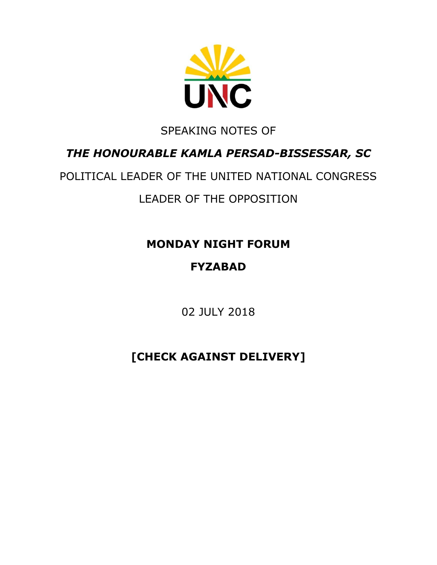

### SPEAKING NOTES OF

### *THE HONOURABLE KAMLA PERSAD-BISSESSAR, SC*

# POLITICAL LEADER OF THE UNITED NATIONAL CONGRESS LEADER OF THE OPPOSITION

### **MONDAY NIGHT FORUM**

## **FYZABAD**

02 JULY 2018

# **[CHECK AGAINST DELIVERY]**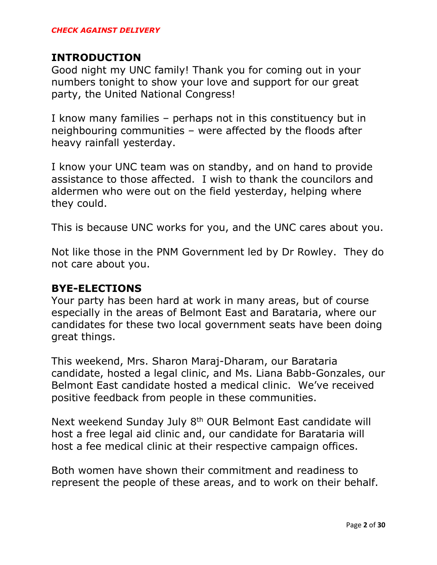#### **INTRODUCTION**

Good night my UNC family! Thank you for coming out in your numbers tonight to show your love and support for our great party, the United National Congress!

I know many families – perhaps not in this constituency but in neighbouring communities – were affected by the floods after heavy rainfall yesterday.

I know your UNC team was on standby, and on hand to provide assistance to those affected. I wish to thank the councilors and aldermen who were out on the field yesterday, helping where they could.

This is because UNC works for you, and the UNC cares about you.

Not like those in the PNM Government led by Dr Rowley. They do not care about you.

#### **BYE-ELECTIONS**

Your party has been hard at work in many areas, but of course especially in the areas of Belmont East and Barataria, where our candidates for these two local government seats have been doing great things.

This weekend, Mrs. Sharon Maraj-Dharam, our Barataria candidate, hosted a legal clinic, and Ms. Liana Babb-Gonzales, our Belmont East candidate hosted a medical clinic. We've received positive feedback from people in these communities.

Next weekend Sunday July 8<sup>th</sup> OUR Belmont East candidate will host a free legal aid clinic and, our candidate for Barataria will host a fee medical clinic at their respective campaign offices.

Both women have shown their commitment and readiness to represent the people of these areas, and to work on their behalf.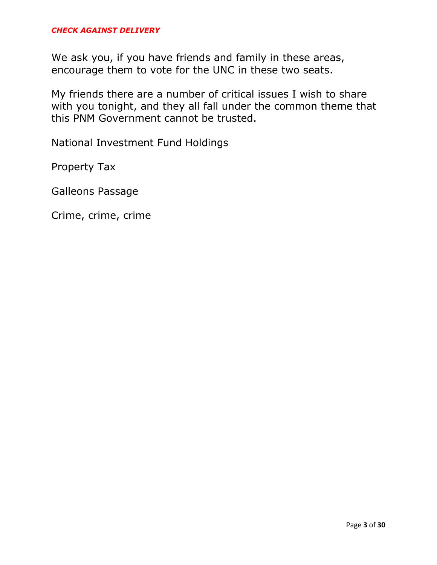We ask you, if you have friends and family in these areas, encourage them to vote for the UNC in these two seats.

My friends there are a number of critical issues I wish to share with you tonight, and they all fall under the common theme that this PNM Government cannot be trusted.

National Investment Fund Holdings

Property Tax

Galleons Passage

Crime, crime, crime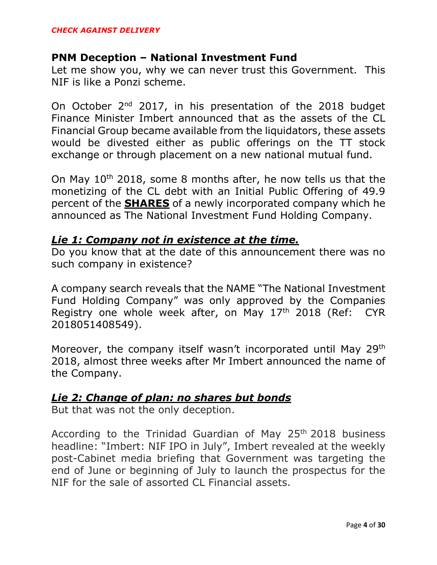#### **PNM Deception – National Investment Fund**

Let me show you, why we can never trust this Government. This NIF is like a Ponzi scheme.

On October 2<sup>nd</sup> 2017, in his presentation of the 2018 budget Finance Minister Imbert announced that as the assets of the CL Financial Group became available from the liquidators, these assets would be divested either as public offerings on the TT stock exchange or through placement on a new national mutual fund.

On May  $10^{th}$  2018, some 8 months after, he now tells us that the monetizing of the CL debt with an Initial Public Offering of 49.9 percent of the **SHARES** of a newly incorporated company which he announced as The National Investment Fund Holding Company.

#### *Lie 1: Company not in existence at the time.*

Do you know that at the date of this announcement there was no such company in existence?

A company search reveals that the NAME "The National Investment Fund Holding Company" was only approved by the Companies Registry one whole week after, on May 17<sup>th</sup> 2018 (Ref: CYR 2018051408549).

Moreover, the company itself wasn't incorporated until May 29<sup>th</sup> 2018, almost three weeks after Mr Imbert announced the name of the Company.

#### *Lie 2: Change of plan: no shares but bonds*

But that was not the only deception.

According to the Trinidad Guardian of May  $25<sup>th</sup>$  2018 business headline: "Imbert: NIF IPO in July", Imbert revealed at the weekly post-Cabinet media briefing that Government was targeting the end of June or beginning of July to launch the prospectus for the NIF for the sale of assorted CL Financial assets.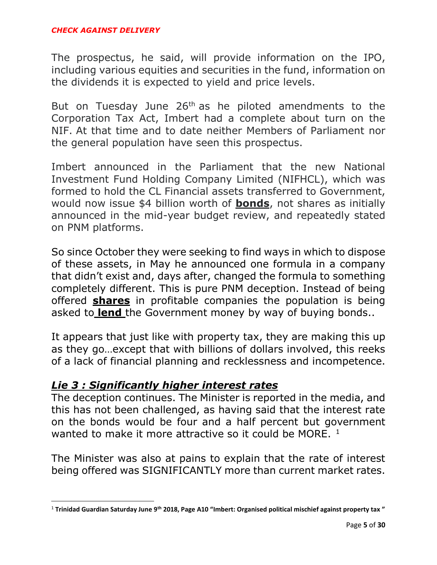The prospectus, he said, will provide information on the IPO, including various equities and securities in the fund, information on the dividends it is expected to yield and price levels.

But on Tuesday June  $26<sup>th</sup>$  as he piloted amendments to the Corporation Tax Act, Imbert had a complete about turn on the NIF. At that time and to date neither Members of Parliament nor the general population have seen this prospectus.

Imbert announced in the Parliament that the new National Investment Fund Holding Company Limited (NIFHCL), which was formed to hold the CL Financial assets transferred to Government, would now issue \$4 billion worth of **bonds**, not shares as initially announced in the mid-year budget review, and repeatedly stated on PNM platforms.

So since October they were seeking to find ways in which to dispose of these assets, in May he announced one formula in a company that didn't exist and, days after, changed the formula to something completely different. This is pure PNM deception. Instead of being offered **shares** in profitable companies the population is being asked to **lend** the Government money by way of buying bonds..

It appears that just like with property tax, they are making this up as they go…except that with billions of dollars involved, this reeks of a lack of financial planning and recklessness and incompetence.

#### *Lie 3 : Significantly higher interest rates*

 $\overline{\phantom{a}}$ 

The deception continues. The Minister is reported in the media, and this has not been challenged, as having said that the interest rate on the bonds would be four and a half percent but government wanted to make it more attractive so it could be MORE.  $1$ 

The Minister was also at pains to explain that the rate of interest being offered was SIGNIFICANTLY more than current market rates.

<sup>1</sup> **Trinidad Guardian Saturday June 9th 2018, Page A10 "Imbert: Organised political mischief against property tax "**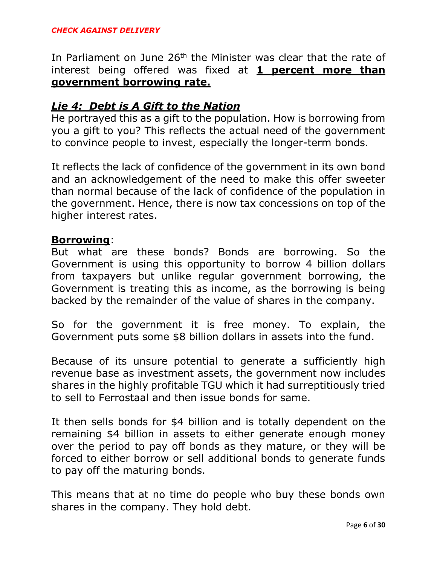#### *CHECK AGAINST DELIVERY*

In Parliament on June 26<sup>th</sup> the Minister was clear that the rate of interest being offered was fixed at **1 percent more than government borrowing rate.**

#### *Lie 4: Debt is A Gift to the Nation*

He portrayed this as a gift to the population. How is borrowing from you a gift to you? This reflects the actual need of the government to convince people to invest, especially the longer-term bonds.

It reflects the lack of confidence of the government in its own bond and an acknowledgement of the need to make this offer sweeter than normal because of the lack of confidence of the population in the government. Hence, there is now tax concessions on top of the higher interest rates.

#### **Borrowing**:

But what are these bonds? Bonds are borrowing. So the Government is using this opportunity to borrow 4 billion dollars from taxpayers but unlike regular government borrowing, the Government is treating this as income, as the borrowing is being backed by the remainder of the value of shares in the company.

So for the government it is free money. To explain, the Government puts some \$8 billion dollars in assets into the fund.

Because of its unsure potential to generate a sufficiently high revenue base as investment assets, the government now includes shares in the highly profitable TGU which it had surreptitiously tried to sell to Ferrostaal and then issue bonds for same.

It then sells bonds for \$4 billion and is totally dependent on the remaining \$4 billion in assets to either generate enough money over the period to pay off bonds as they mature, or they will be forced to either borrow or sell additional bonds to generate funds to pay off the maturing bonds.

This means that at no time do people who buy these bonds own shares in the company. They hold debt.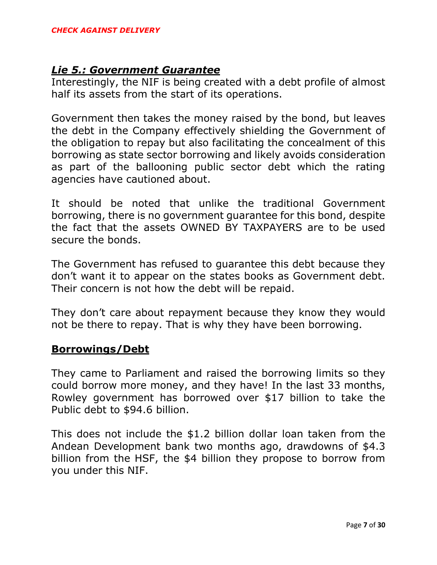#### *Lie 5.: Government Guarantee*

Interestingly, the NIF is being created with a debt profile of almost half its assets from the start of its operations.

Government then takes the money raised by the bond, but leaves the debt in the Company effectively shielding the Government of the obligation to repay but also facilitating the concealment of this borrowing as state sector borrowing and likely avoids consideration as part of the ballooning public sector debt which the rating agencies have cautioned about.

It should be noted that unlike the traditional Government borrowing, there is no government guarantee for this bond, despite the fact that the assets OWNED BY TAXPAYERS are to be used secure the bonds.

The Government has refused to guarantee this debt because they don't want it to appear on the states books as Government debt. Their concern is not how the debt will be repaid.

They don't care about repayment because they know they would not be there to repay. That is why they have been borrowing.

#### **Borrowings/Debt**

They came to Parliament and raised the borrowing limits so they could borrow more money, and they have! In the last 33 months, Rowley government has borrowed over \$17 billion to take the Public debt to \$94.6 billion.

This does not include the \$1.2 billion dollar loan taken from the Andean Development bank two months ago, drawdowns of \$4.3 billion from the HSF, the \$4 billion they propose to borrow from you under this NIF.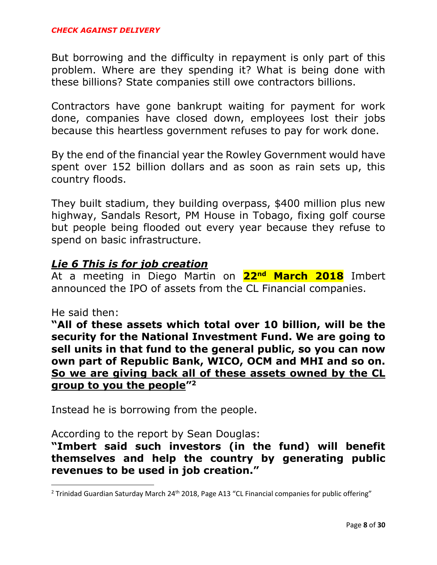But borrowing and the difficulty in repayment is only part of this problem. Where are they spending it? What is being done with these billions? State companies still owe contractors billions.

Contractors have gone bankrupt waiting for payment for work done, companies have closed down, employees lost their jobs because this heartless government refuses to pay for work done.

By the end of the financial year the Rowley Government would have spent over 152 billion dollars and as soon as rain sets up, this country floods.

They built stadium, they building overpass, \$400 million plus new highway, Sandals Resort, PM House in Tobago, fixing golf course but people being flooded out every year because they refuse to spend on basic infrastructure.

#### *Lie 6 This is for job creation*

At a meeting in Diego Martin on **22nd March 2018** Imbert announced the IPO of assets from the CL Financial companies.

#### He said then:

 $\overline{\phantom{a}}$ 

**"All of these assets which total over 10 billion, will be the security for the National Investment Fund. We are going to sell units in that fund to the general public, so you can now own part of Republic Bank, WICO, OCM and MHI and so on. So we are giving back all of these assets owned by the CL group to you the people" 2**

Instead he is borrowing from the people.

According to the report by Sean Douglas:

**"Imbert said such investors (in the fund) will benefit themselves and help the country by generating public revenues to be used in job creation."**

<sup>&</sup>lt;sup>2</sup> Trinidad Guardian Saturday March 24<sup>th</sup> 2018, Page A13 "CL Financial companies for public offering"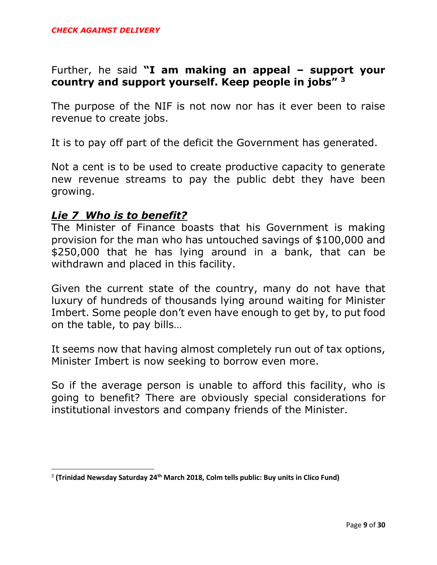### Further, he said **"I am making an appeal – support your country and support yourself. Keep people in jobs" <sup>3</sup>**

The purpose of the NIF is not now nor has it ever been to raise revenue to create jobs.

It is to pay off part of the deficit the Government has generated.

Not a cent is to be used to create productive capacity to generate new revenue streams to pay the public debt they have been growing.

#### *Lie 7 Who is to benefit?*

 $\overline{\phantom{a}}$ 

The Minister of Finance boasts that his Government is making provision for the man who has untouched savings of \$100,000 and \$250,000 that he has lying around in a bank, that can be withdrawn and placed in this facility.

Given the current state of the country, many do not have that luxury of hundreds of thousands lying around waiting for Minister Imbert. Some people don't even have enough to get by, to put food on the table, to pay bills…

It seems now that having almost completely run out of tax options, Minister Imbert is now seeking to borrow even more.

So if the average person is unable to afford this facility, who is going to benefit? There are obviously special considerations for institutional investors and company friends of the Minister.

<sup>3</sup> **(Trinidad Newsday Saturday 24th March 2018, Colm tells public: Buy units in Clico Fund)**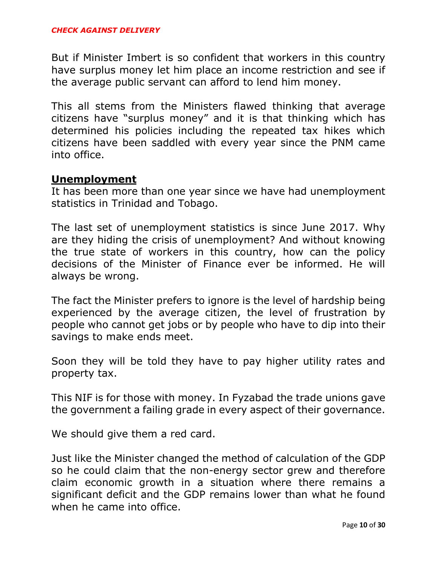But if Minister Imbert is so confident that workers in this country have surplus money let him place an income restriction and see if the average public servant can afford to lend him money.

This all stems from the Ministers flawed thinking that average citizens have "surplus money" and it is that thinking which has determined his policies including the repeated tax hikes which citizens have been saddled with every year since the PNM came into office.

#### **Unemployment**

It has been more than one year since we have had unemployment statistics in Trinidad and Tobago.

The last set of unemployment statistics is since June 2017. Why are they hiding the crisis of unemployment? And without knowing the true state of workers in this country, how can the policy decisions of the Minister of Finance ever be informed. He will always be wrong.

The fact the Minister prefers to ignore is the level of hardship being experienced by the average citizen, the level of frustration by people who cannot get jobs or by people who have to dip into their savings to make ends meet.

Soon they will be told they have to pay higher utility rates and property tax.

This NIF is for those with money. In Fyzabad the trade unions gave the government a failing grade in every aspect of their governance.

We should give them a red card.

Just like the Minister changed the method of calculation of the GDP so he could claim that the non-energy sector grew and therefore claim economic growth in a situation where there remains a significant deficit and the GDP remains lower than what he found when he came into office.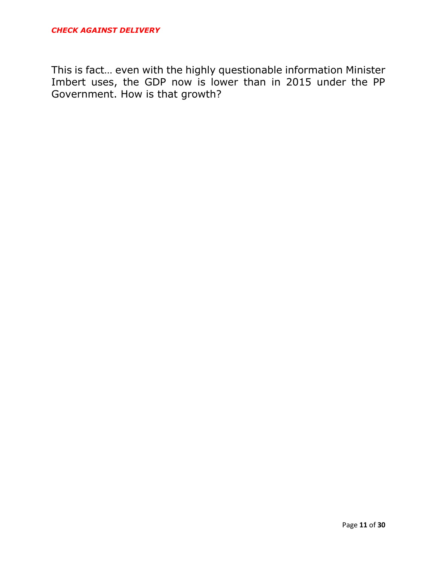This is fact… even with the highly questionable information Minister Imbert uses, the GDP now is lower than in 2015 under the PP Government. How is that growth?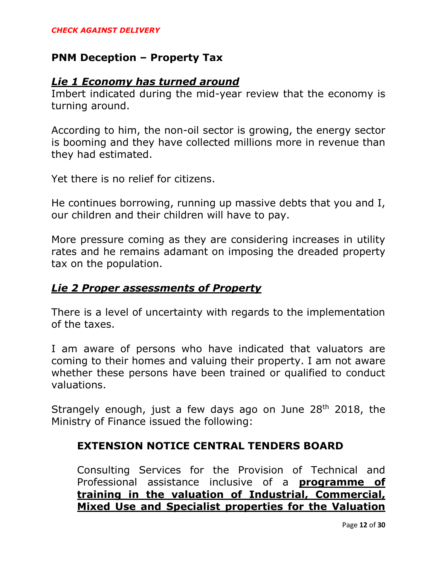#### **PNM Deception – Property Tax**

#### *Lie 1 Economy has turned around*

Imbert indicated during the mid-year review that the economy is turning around.

According to him, the non-oil sector is growing, the energy sector is booming and they have collected millions more in revenue than they had estimated.

Yet there is no relief for citizens.

He continues borrowing, running up massive debts that you and I, our children and their children will have to pay.

More pressure coming as they are considering increases in utility rates and he remains adamant on imposing the dreaded property tax on the population.

#### *Lie 2 Proper assessments of Property*

There is a level of uncertainty with regards to the implementation of the taxes.

I am aware of persons who have indicated that valuators are coming to their homes and valuing their property. I am not aware whether these persons have been trained or qualified to conduct valuations.

Strangely enough, just a few days ago on June  $28<sup>th</sup>$  2018, the Ministry of Finance issued the following:

#### **EXTENSION NOTICE CENTRAL TENDERS BOARD**

Consulting Services for the Provision of Technical and Professional assistance inclusive of a **programme of training in the valuation of Industrial, Commercial, Mixed Use and Specialist properties for the Valuation**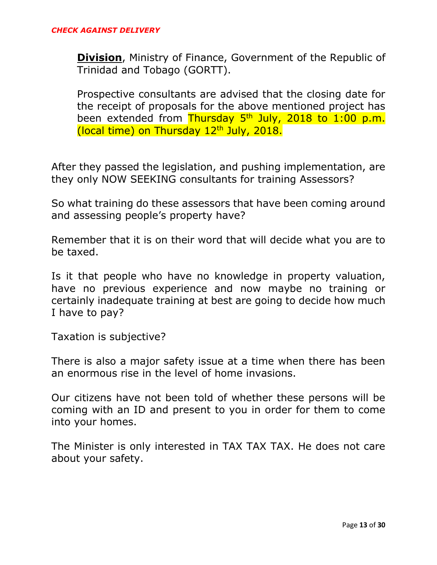**Division**, Ministry of Finance, Government of the Republic of Trinidad and Tobago (GORTT).

Prospective consultants are advised that the closing date for the receipt of proposals for the above mentioned project has been extended from Thursday 5<sup>th</sup> July, 2018 to 1:00 p.m. (local time) on Thursday 12<sup>th</sup> July, 2018.

After they passed the legislation, and pushing implementation, are they only NOW SEEKING consultants for training Assessors?

So what training do these assessors that have been coming around and assessing people's property have?

Remember that it is on their word that will decide what you are to be taxed.

Is it that people who have no knowledge in property valuation, have no previous experience and now maybe no training or certainly inadequate training at best are going to decide how much I have to pay?

Taxation is subjective?

There is also a major safety issue at a time when there has been an enormous rise in the level of home invasions.

Our citizens have not been told of whether these persons will be coming with an ID and present to you in order for them to come into your homes.

The Minister is only interested in TAX TAX TAX. He does not care about your safety.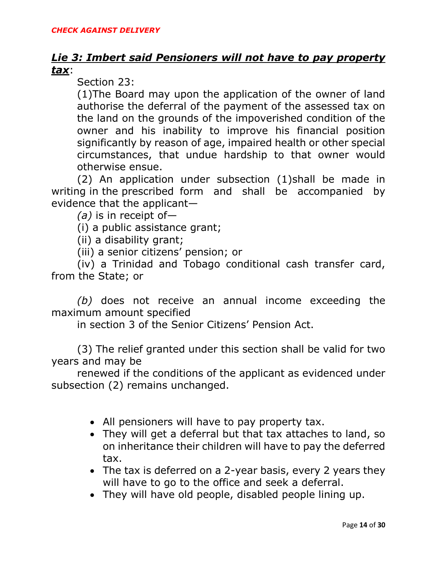#### *Lie 3: Imbert said Pensioners will not have to pay property tax*:

Section 23:

(1)The Board may upon the application of the owner of land authorise the deferral of the payment of the assessed tax on the land on the grounds of the impoverished condition of the owner and his inability to improve his financial position significantly by reason of age, impaired health or other special circumstances, that undue hardship to that owner would otherwise ensue.

(2) An application under subsection (1)shall be made in writing in the prescribed form and shall be accompanied by evidence that the applicant—

*(a)* is in receipt of—

(i) a public assistance grant;

(ii) a disability grant;

(iii) a senior citizens' pension; or

(iv) a Trinidad and Tobago conditional cash transfer card, from the State; or

*(b)* does not receive an annual income exceeding the maximum amount specified

in section 3 of the Senior Citizens' Pension Act.

(3) The relief granted under this section shall be valid for two years and may be

renewed if the conditions of the applicant as evidenced under subsection (2) remains unchanged.

- All pensioners will have to pay property tax.
- They will get a deferral but that tax attaches to land, so on inheritance their children will have to pay the deferred tax.
- The tax is deferred on a 2-year basis, every 2 years they will have to go to the office and seek a deferral.
- They will have old people, disabled people lining up.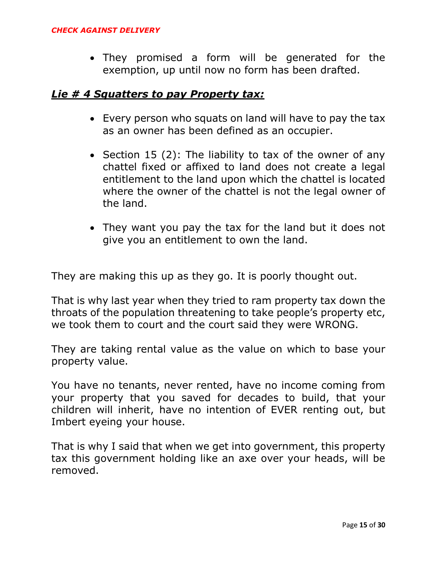They promised a form will be generated for the exemption, up until now no form has been drafted.

#### *Lie # 4 Squatters to pay Property tax:*

- Every person who squats on land will have to pay the tax as an owner has been defined as an occupier.
- Section 15 (2): The liability to tax of the owner of any chattel fixed or affixed to land does not create a legal entitlement to the land upon which the chattel is located where the owner of the chattel is not the legal owner of the land.
- They want you pay the tax for the land but it does not give you an entitlement to own the land.

They are making this up as they go. It is poorly thought out.

That is why last year when they tried to ram property tax down the throats of the population threatening to take people's property etc, we took them to court and the court said they were WRONG.

They are taking rental value as the value on which to base your property value.

You have no tenants, never rented, have no income coming from your property that you saved for decades to build, that your children will inherit, have no intention of EVER renting out, but Imbert eyeing your house.

That is why I said that when we get into government, this property tax this government holding like an axe over your heads, will be removed.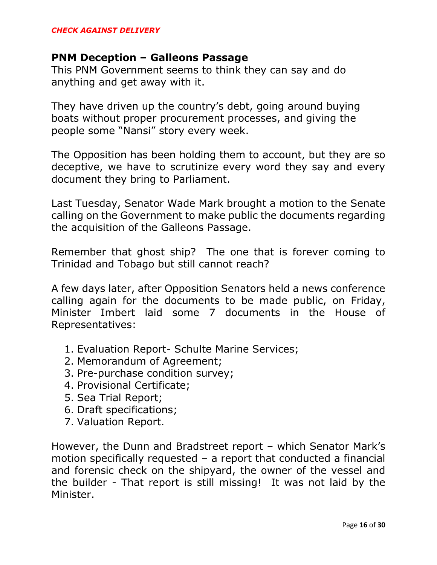#### **PNM Deception – Galleons Passage**

This PNM Government seems to think they can say and do anything and get away with it.

They have driven up the country's debt, going around buying boats without proper procurement processes, and giving the people some "Nansi" story every week.

The Opposition has been holding them to account, but they are so deceptive, we have to scrutinize every word they say and every document they bring to Parliament.

Last Tuesday, Senator Wade Mark brought a motion to the Senate calling on the Government to make public the documents regarding the acquisition of the Galleons Passage.

Remember that ghost ship? The one that is forever coming to Trinidad and Tobago but still cannot reach?

A few days later, after Opposition Senators held a news conference calling again for the documents to be made public, on Friday, Minister Imbert laid some 7 documents in the House of Representatives:

- 1. Evaluation Report- Schulte Marine Services;
- 2. Memorandum of Agreement;
- 3. Pre-purchase condition survey;
- 4. Provisional Certificate;
- 5. Sea Trial Report;
- 6. Draft specifications;
- 7. Valuation Report.

However, the Dunn and Bradstreet report – which Senator Mark's motion specifically requested – a report that conducted a financial and forensic check on the shipyard, the owner of the vessel and the builder - That report is still missing! It was not laid by the Minister.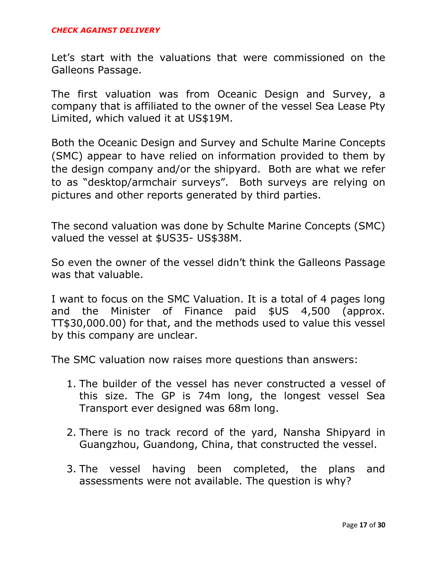Let's start with the valuations that were commissioned on the Galleons Passage.

The first valuation was from Oceanic Design and Survey, a company that is affiliated to the owner of the vessel Sea Lease Pty Limited, which valued it at US\$19M.

Both the Oceanic Design and Survey and Schulte Marine Concepts (SMC) appear to have relied on information provided to them by the design company and/or the shipyard. Both are what we refer to as "desktop/armchair surveys". Both surveys are relying on pictures and other reports generated by third parties.

The second valuation was done by Schulte Marine Concepts (SMC) valued the vessel at \$US35- US\$38M.

So even the owner of the vessel didn't think the Galleons Passage was that valuable.

I want to focus on the SMC Valuation. It is a total of 4 pages long and the Minister of Finance paid \$US 4,500 (approx. TT\$30,000.00) for that, and the methods used to value this vessel by this company are unclear.

The SMC valuation now raises more questions than answers:

- 1. The builder of the vessel has never constructed a vessel of this size. The GP is 74m long, the longest vessel Sea Transport ever designed was 68m long.
- 2. There is no track record of the yard, Nansha Shipyard in Guangzhou, Guandong, China, that constructed the vessel.
- 3. The vessel having been completed, the plans and assessments were not available. The question is why?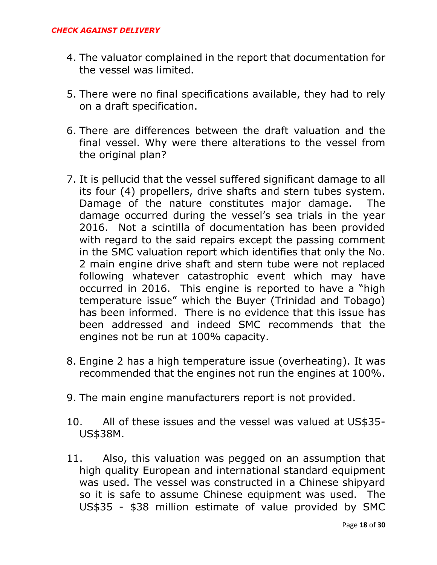- 4. The valuator complained in the report that documentation for the vessel was limited.
- 5. There were no final specifications available, they had to rely on a draft specification.
- 6. There are differences between the draft valuation and the final vessel. Why were there alterations to the vessel from the original plan?
- 7. It is pellucid that the vessel suffered significant damage to all its four (4) propellers, drive shafts and stern tubes system. Damage of the nature constitutes major damage. The damage occurred during the vessel's sea trials in the year 2016. Not a scintilla of documentation has been provided with regard to the said repairs except the passing comment in the SMC valuation report which identifies that only the No. 2 main engine drive shaft and stern tube were not replaced following whatever catastrophic event which may have occurred in 2016. This engine is reported to have a "high temperature issue" which the Buyer (Trinidad and Tobago) has been informed. There is no evidence that this issue has been addressed and indeed SMC recommends that the engines not be run at 100% capacity.
- 8. Engine 2 has a high temperature issue (overheating). It was recommended that the engines not run the engines at 100%.
- 9. The main engine manufacturers report is not provided.
- 10. All of these issues and the vessel was valued at US\$35- US\$38M.
- 11. Also, this valuation was pegged on an assumption that high quality European and international standard equipment was used. The vessel was constructed in a Chinese shipyard so it is safe to assume Chinese equipment was used. The US\$35 - \$38 million estimate of value provided by SMC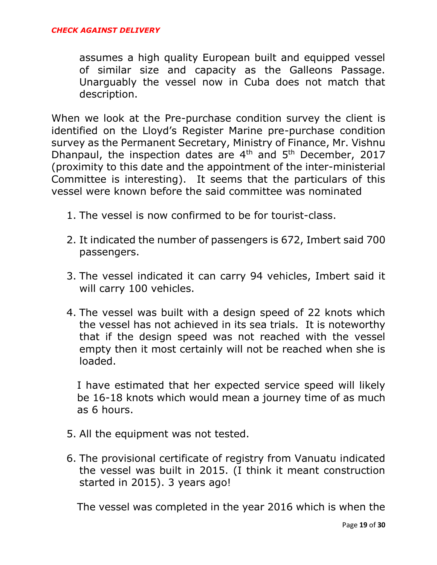assumes a high quality European built and equipped vessel of similar size and capacity as the Galleons Passage. Unarguably the vessel now in Cuba does not match that description.

When we look at the Pre-purchase condition survey the client is identified on the Lloyd's Register Marine pre-purchase condition survey as the Permanent Secretary, Ministry of Finance, Mr. Vishnu Dhanpaul, the inspection dates are  $4<sup>th</sup>$  and  $5<sup>th</sup>$  December, 2017 (proximity to this date and the appointment of the inter-ministerial Committee is interesting). It seems that the particulars of this vessel were known before the said committee was nominated

- 1. The vessel is now confirmed to be for tourist-class.
- 2. It indicated the number of passengers is 672, Imbert said 700 passengers.
- 3. The vessel indicated it can carry 94 vehicles, Imbert said it will carry 100 vehicles.
- 4. The vessel was built with a design speed of 22 knots which the vessel has not achieved in its sea trials. It is noteworthy that if the design speed was not reached with the vessel empty then it most certainly will not be reached when she is loaded.

I have estimated that her expected service speed will likely be 16-18 knots which would mean a journey time of as much as 6 hours.

- 5. All the equipment was not tested.
- 6. The provisional certificate of registry from Vanuatu indicated the vessel was built in 2015. (I think it meant construction started in 2015). 3 years ago!

The vessel was completed in the year 2016 which is when the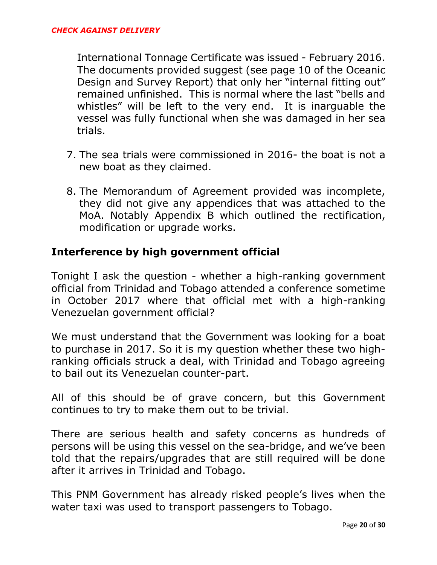International Tonnage Certificate was issued - February 2016. The documents provided suggest (see page 10 of the Oceanic Design and Survey Report) that only her "internal fitting out" remained unfinished. This is normal where the last "bells and whistles" will be left to the very end. It is inarguable the vessel was fully functional when she was damaged in her sea trials.

- 7. The sea trials were commissioned in 2016- the boat is not a new boat as they claimed.
- 8. The Memorandum of Agreement provided was incomplete, they did not give any appendices that was attached to the MoA. Notably Appendix B which outlined the rectification, modification or upgrade works.

#### **Interference by high government official**

Tonight I ask the question - whether a high-ranking government official from Trinidad and Tobago attended a conference sometime in October 2017 where that official met with a high-ranking Venezuelan government official?

We must understand that the Government was looking for a boat to purchase in 2017. So it is my question whether these two highranking officials struck a deal, with Trinidad and Tobago agreeing to bail out its Venezuelan counter-part.

All of this should be of grave concern, but this Government continues to try to make them out to be trivial.

There are serious health and safety concerns as hundreds of persons will be using this vessel on the sea-bridge, and we've been told that the repairs/upgrades that are still required will be done after it arrives in Trinidad and Tobago.

This PNM Government has already risked people's lives when the water taxi was used to transport passengers to Tobago.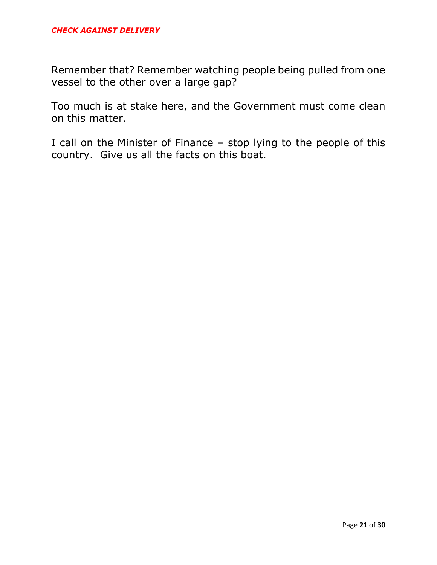Remember that? Remember watching people being pulled from one vessel to the other over a large gap?

Too much is at stake here, and the Government must come clean on this matter.

I call on the Minister of Finance – stop lying to the people of this country. Give us all the facts on this boat.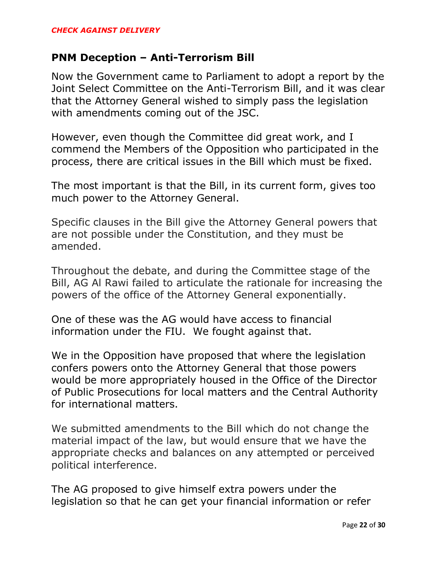#### **PNM Deception – Anti-Terrorism Bill**

Now the Government came to Parliament to adopt a report by the Joint Select Committee on the Anti-Terrorism Bill, and it was clear that the Attorney General wished to simply pass the legislation with amendments coming out of the JSC.

However, even though the Committee did great work, and I commend the Members of the Opposition who participated in the process, there are critical issues in the Bill which must be fixed.

The most important is that the Bill, in its current form, gives too much power to the Attorney General.

Specific clauses in the Bill give the Attorney General powers that are not possible under the Constitution, and they must be amended.

Throughout the debate, and during the Committee stage of the Bill, AG Al Rawi failed to articulate the rationale for increasing the powers of the office of the Attorney General exponentially.

One of these was the AG would have access to financial information under the FIU. We fought against that.

We in the Opposition have proposed that where the legislation confers powers onto the Attorney General that those powers would be more appropriately housed in the Office of the Director of Public Prosecutions for local matters and the Central Authority for international matters.

We submitted amendments to the Bill which do not change the material impact of the law, but would ensure that we have the appropriate checks and balances on any attempted or perceived political interference.

The AG proposed to give himself extra powers under the legislation so that he can get your financial information or refer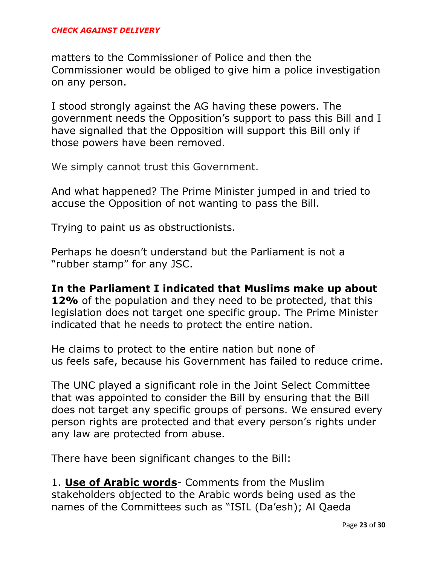matters to the Commissioner of Police and then the Commissioner would be obliged to give him a police investigation on any person.

I stood strongly against the AG having these powers. The government needs the Opposition's support to pass this Bill and I have signalled that the Opposition will support this Bill only if those powers have been removed.

We simply cannot trust this Government.

And what happened? The Prime Minister jumped in and tried to accuse the Opposition of not wanting to pass the Bill.

Trying to paint us as obstructionists.

Perhaps he doesn't understand but the Parliament is not a "rubber stamp" for any JSC.

**In the Parliament I indicated that Muslims make up about 12%** of the population and they need to be protected, that this legislation does not target one specific group. The Prime Minister indicated that he needs to protect the entire nation.

He claims to protect to the entire nation but none of us feels safe, because his Government has failed to reduce crime.

The UNC played a significant role in the Joint Select Committee that was appointed to consider the Bill by ensuring that the Bill does not target any specific groups of persons. We ensured every person rights are protected and that every person's rights under any law are protected from abuse.

There have been significant changes to the Bill:

1. **Use of Arabic words**- Comments from the Muslim stakeholders objected to the Arabic words being used as the names of the Committees such as "ISIL (Da'esh); Al Qaeda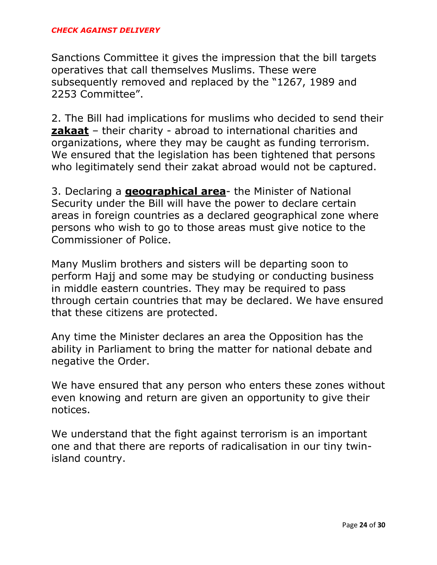#### *CHECK AGAINST DELIVERY*

Sanctions Committee it gives the impression that the bill targets operatives that call themselves Muslims. These were subsequently removed and replaced by the "1267, 1989 and 2253 Committee".

2. The Bill had implications for muslims who decided to send their **zakaat** – their charity - abroad to international charities and organizations, where they may be caught as funding terrorism. We ensured that the legislation has been tightened that persons who legitimately send their zakat abroad would not be captured.

3. Declaring a **geographical area**- the Minister of National Security under the Bill will have the power to declare certain areas in foreign countries as a declared geographical zone where persons who wish to go to those areas must give notice to the Commissioner of Police.

Many Muslim brothers and sisters will be departing soon to perform Hajj and some may be studying or conducting business in middle eastern countries. They may be required to pass through certain countries that may be declared. We have ensured that these citizens are protected.

Any time the Minister declares an area the Opposition has the ability in Parliament to bring the matter for national debate and negative the Order.

We have ensured that any person who enters these zones without even knowing and return are given an opportunity to give their notices.

We understand that the fight against terrorism is an important one and that there are reports of radicalisation in our tiny twinisland country.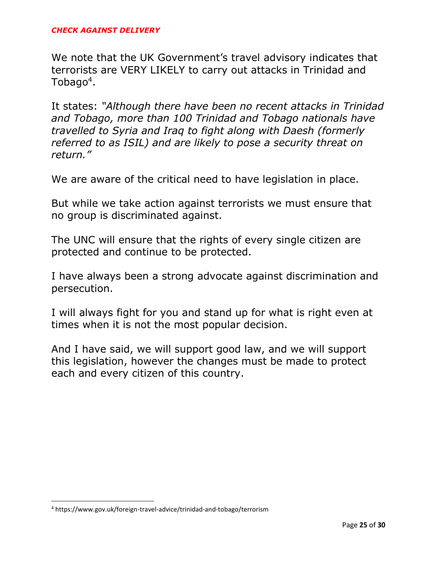We note that the UK Government's travel advisory indicates that terrorists are VERY LIKELY to carry out attacks in Trinidad and Tobago<sup>4</sup>.

It states: *"Although there have been no recent attacks in Trinidad and Tobago, more than 100 Trinidad and Tobago nationals have travelled to Syria and Iraq to fight along with Daesh (formerly referred to as ISIL) and are likely to pose a security threat on return."*

We are aware of the critical need to have legislation in place.

But while we take action against terrorists we must ensure that no group is discriminated against.

The UNC will ensure that the rights of every single citizen are protected and continue to be protected.

I have always been a strong advocate against discrimination and persecution.

I will always fight for you and stand up for what is right even at times when it is not the most popular decision.

And I have said, we will support good law, and we will support this legislation, however the changes must be made to protect each and every citizen of this country.

 $\overline{\phantom{a}}$ 

<sup>4</sup> https://www.gov.uk/foreign-travel-advice/trinidad-and-tobago/terrorism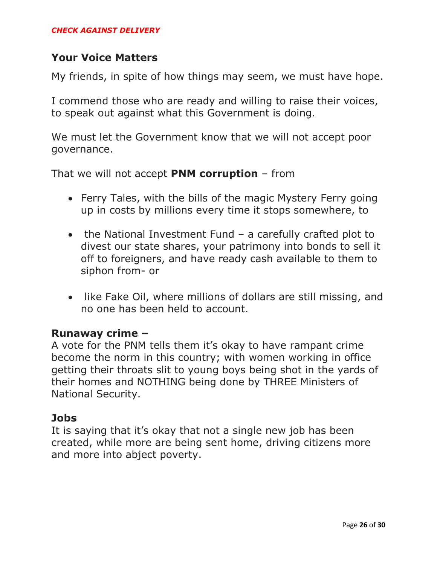#### **Your Voice Matters**

My friends, in spite of how things may seem, we must have hope.

I commend those who are ready and willing to raise their voices, to speak out against what this Government is doing.

We must let the Government know that we will not accept poor governance.

That we will not accept **PNM corruption** – from

- Ferry Tales, with the bills of the magic Mystery Ferry going up in costs by millions every time it stops somewhere, to
- the National Investment Fund a carefully crafted plot to divest our state shares, your patrimony into bonds to sell it off to foreigners, and have ready cash available to them to siphon from- or
- like Fake Oil, where millions of dollars are still missing, and no one has been held to account.

#### **Runaway crime –**

A vote for the PNM tells them it's okay to have rampant crime become the norm in this country; with women working in office getting their throats slit to young boys being shot in the yards of their homes and NOTHING being done by THREE Ministers of National Security.

#### **Jobs**

It is saying that it's okay that not a single new job has been created, while more are being sent home, driving citizens more and more into abject poverty.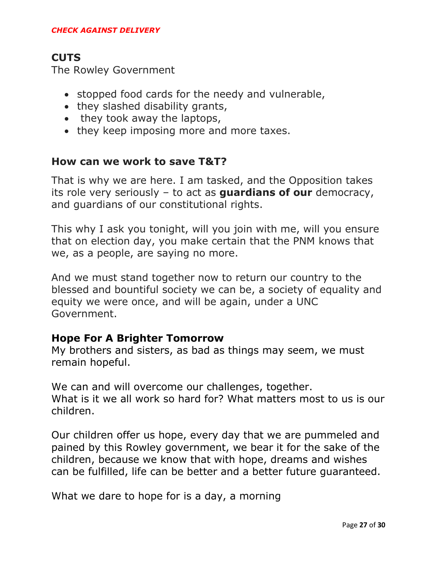### **CUTS**

The Rowley Government

- stopped food cards for the needy and vulnerable,
- they slashed disability grants,
- they took away the laptops,
- they keep imposing more and more taxes.

#### **How can we work to save T&T?**

That is why we are here. I am tasked, and the Opposition takes its role very seriously – to act as **guardians of our** democracy, and guardians of our constitutional rights.

This why I ask you tonight, will you join with me, will you ensure that on election day, you make certain that the PNM knows that we, as a people, are saying no more.

And we must stand together now to return our country to the blessed and bountiful society we can be, a society of equality and equity we were once, and will be again, under a UNC Government.

#### **Hope For A Brighter Tomorrow**

My brothers and sisters, as bad as things may seem, we must remain hopeful.

We can and will overcome our challenges, together. What is it we all work so hard for? What matters most to us is our children.

Our children offer us hope, every day that we are pummeled and pained by this Rowley government, we bear it for the sake of the children, because we know that with hope, dreams and wishes can be fulfilled, life can be better and a better future guaranteed.

What we dare to hope for is a day, a morning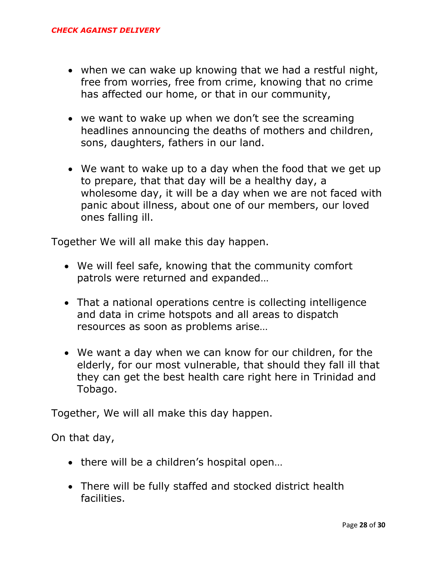- when we can wake up knowing that we had a restful night, free from worries, free from crime, knowing that no crime has affected our home, or that in our community,
- we want to wake up when we don't see the screaming headlines announcing the deaths of mothers and children, sons, daughters, fathers in our land.
- We want to wake up to a day when the food that we get up to prepare, that that day will be a healthy day, a wholesome day, it will be a day when we are not faced with panic about illness, about one of our members, our loved ones falling ill.

Together We will all make this day happen.

- We will feel safe, knowing that the community comfort patrols were returned and expanded…
- That a national operations centre is collecting intelligence and data in crime hotspots and all areas to dispatch resources as soon as problems arise…
- We want a day when we can know for our children, for the elderly, for our most vulnerable, that should they fall ill that they can get the best health care right here in Trinidad and Tobago.

Together, We will all make this day happen.

On that day,

- there will be a children's hospital open...
- There will be fully staffed and stocked district health facilities.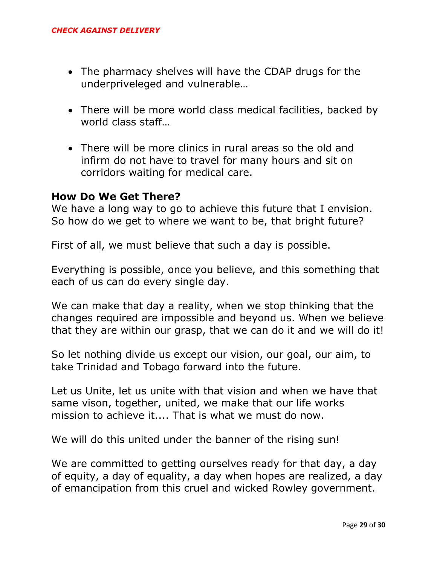- The pharmacy shelves will have the CDAP drugs for the underpriveleged and vulnerable…
- There will be more world class medical facilities, backed by world class staff…
- There will be more clinics in rural areas so the old and infirm do not have to travel for many hours and sit on corridors waiting for medical care.

#### **How Do We Get There?**

We have a long way to go to achieve this future that I envision. So how do we get to where we want to be, that bright future?

First of all, we must believe that such a day is possible.

Everything is possible, once you believe, and this something that each of us can do every single day.

We can make that day a reality, when we stop thinking that the changes required are impossible and beyond us. When we believe that they are within our grasp, that we can do it and we will do it!

So let nothing divide us except our vision, our goal, our aim, to take Trinidad and Tobago forward into the future.

Let us Unite, let us unite with that vision and when we have that same vison, together, united, we make that our life works mission to achieve it.... That is what we must do now.

We will do this united under the banner of the rising sun!

We are committed to getting ourselves ready for that day, a day of equity, a day of equality, a day when hopes are realized, a day of emancipation from this cruel and wicked Rowley government.